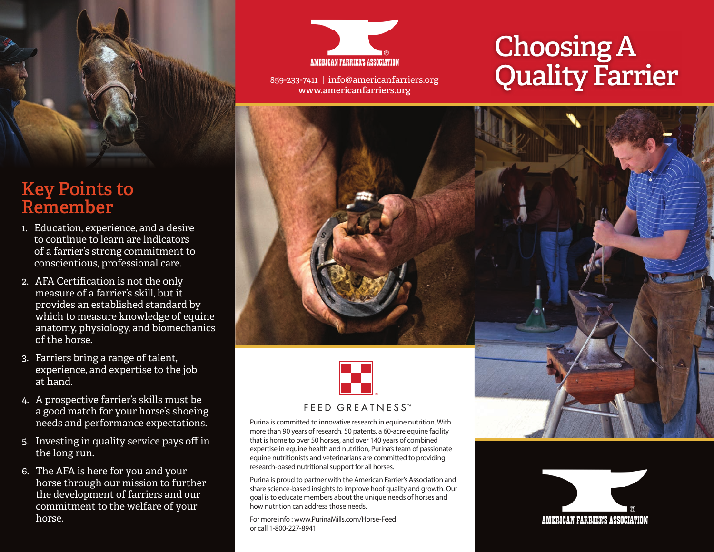

## **Key Points to Remember**

- 1. Education, experience, and a desire to continue to learn are indicators of a farrier's strong commitment to conscientious, professional care.
- 2. AFA Certification is not the only measure of a farrier's skill, but it provides an established standard by which to measure knowledge of equine anatomy, physiology, and biomechanics of the horse.
- 3. Farriers bring a range of talent, experience, and expertise to the job at hand.
- 4. A prospective farrier's skills must be a good match for your horse's shoeing needs and performance expectations.
- 5. Investing in quality service pays off in the long run.
- 6. The AFA is here for you and your horse through our mission to further the development of farriers and our commitment to the welfare of your horse.



859-233-7411 | info@americanfarriers.org **www.americanfarriers.org**

# **Choosing A Quality Farrier**





Purina is committed to innovative research in equine nutrition. With more than 90 years of research, 50 patents, a 60-acre equine facility that is home to over 50 horses, and over 140 years of combined expertise in equine health and nutrition, Purina's team of passionate equine nutritionists and veterinarians are committed to providing research-based nutritional support for all horses.

Purina is proud to partner with the American Farrier's Association and share science-based insights to improve hoof quality and growth. Our goal is to educate members about the unique needs of horses and how nutrition can address those needs.

For more info : www.PurinaMills.com/Horse-Feed or call 1-800-227-8941